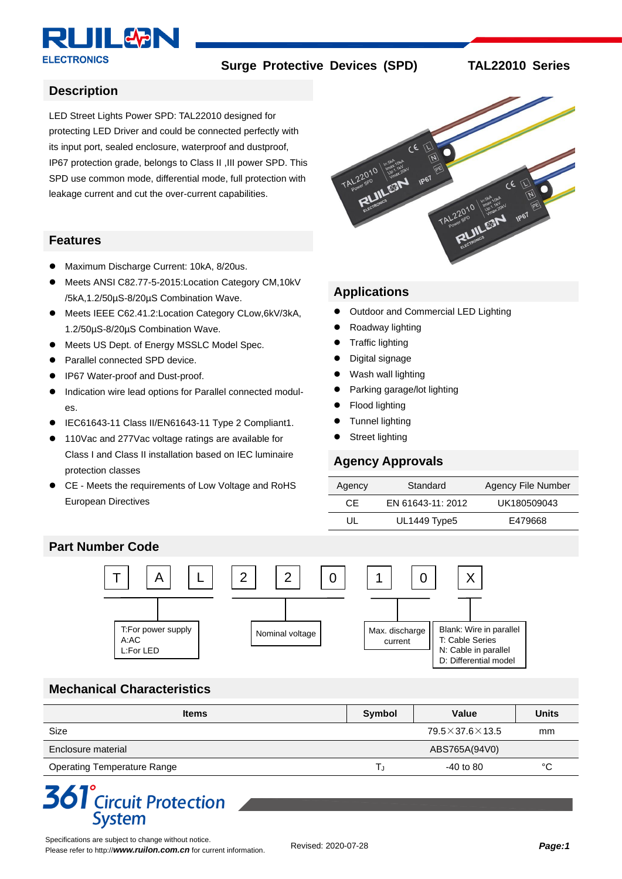

**Surge Protective Devices (SPD) TAL22010 Series**

#### **Description**

LED Street Lights Power SPD: TAL22010 designed for protecting LED Driver and could be connected perfectly with its input port, sealed enclosure, waterproof and dustproof, IP67 protection grade, belongs to Class II ,III power SPD. This SPD use common mode, differential mode, full protection with leakage current and cut the over-current capabilities.

#### **Features**

- ⚫ Maximum Discharge Current: 10kA, 8/20us.
- ⚫ Meets ANSI C82.77-5-2015:Location Category CM,10kV /5kA,1.2/50µS-8/20µS Combination Wave.
- Meets IEEE C62.41.2:Location Category CLow,6kV/3kA, 1.2/50µS-8/20µS Combination Wave.
- Meets US Dept. of Energy MSSLC Model Spec.
- Parallel connected SPD device.
- ⚫ IP67 Water-proof and Dust-proof.
- ⚫ Indication wire lead options for Parallel connected modules.
- ⚫ IEC61643-11 Class II/EN61643-11 Type 2 Compliant1.
- 110Vac and 277Vac voltage ratings are available for Class I and Class II installation based on IEC luminaire protection classes
- CE Meets the requirements of Low Voltage and RoHS European Directives



#### **Applications**

- ⚫ Outdoor and Commercial LED Lighting
- ⚫ Roadway lighting
- Traffic lighting
- ⚫ Digital signage
- Wash wall lighting
- Parking garage/lot lighting
- ⚫ Flood lighting
- ⚫ Tunnel lighting
- Street lighting

#### **Agency Approvals**

| Agency | Standard          | Agency File Number |  |  |  |
|--------|-------------------|--------------------|--|--|--|
| CF.    | EN 61643-11: 2012 | UK180509043        |  |  |  |
| UL     | UL1449 Type5      | E479668            |  |  |  |

#### **Part Number Code**



## **Mechanical Characteristics**

| <b>Items</b>                       | Symbol | Value                      | <b>Units</b> |
|------------------------------------|--------|----------------------------|--------------|
| Size                               |        | $79.5\times37.6\times13.5$ | mm           |
| Enclosure material                 |        | ABS765A(94V0)              |              |
| <b>Operating Temperature Range</b> |        | $-40$ to 80                | °C           |

# **361**<sup>°</sup>Circuit Protection **System**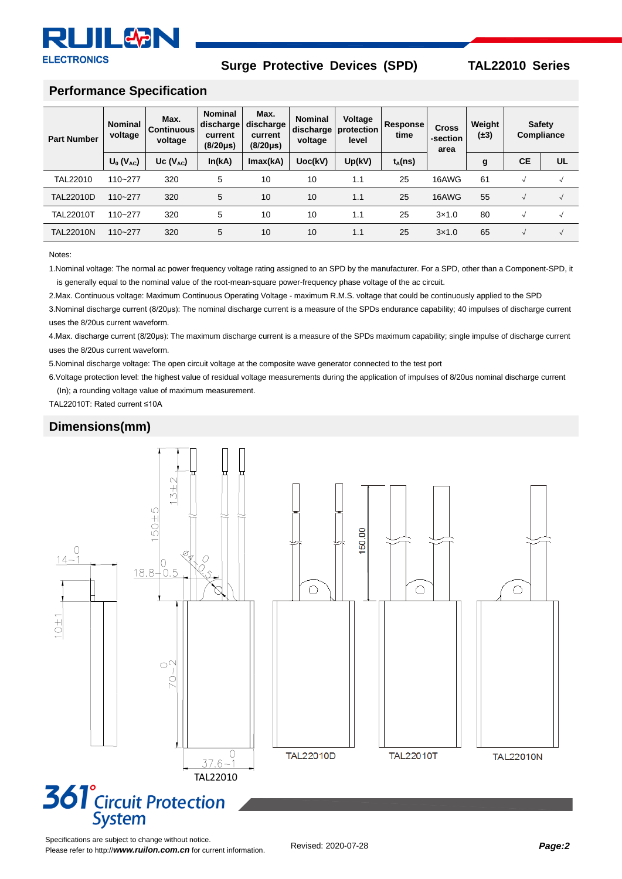

#### **Surge Protective Devices (SPD) TAL22010 Series**

#### **Performance Specification**

| <b>Part Number</b> | <b>Nominal</b><br>voltage | Max.<br><b>Continuous</b><br>voltage | <b>Nominal</b><br>discharge<br>current<br>$(8/20 \mu s)$ | Max.<br>discharge<br>current<br>$(8/20 \,\mu s)$ | <b>Nominal</b><br>voltage | Voltage<br>discharge   protection<br>level | Response<br>time | <b>Cross</b><br>-section<br>area | Weight<br>$(+3)$ | <b>Safety</b><br>Compliance |                    |
|--------------------|---------------------------|--------------------------------------|----------------------------------------------------------|--------------------------------------------------|---------------------------|--------------------------------------------|------------------|----------------------------------|------------------|-----------------------------|--------------------|
|                    | $U_0 (V_{AC})$            | Uc $(V_{AC})$                        | In(kA)                                                   | Imax(kA)                                         | Uoc(kV)                   | Up(kV)                                     | $t_A(ns)$        |                                  | g                | <b>CE</b>                   | UL                 |
| TAL22010           | 110~277                   | 320                                  | 5                                                        | 10                                               | 10                        | 1.1                                        | 25               | 16AWG                            | 61               |                             | √                  |
| <b>TAL22010D</b>   | $110 - 277$               | 320                                  | 5                                                        | 10                                               | 10                        | 1.1                                        | 25               | 16AWG                            | 55               |                             | $\rightsquigarrow$ |
| <b>TAL22010T</b>   | 110~277                   | 320                                  | 5                                                        | 10                                               | 10                        | 1.1                                        | 25               | 3x1.0                            | 80               |                             | $\sim$             |
| <b>TAL22010N</b>   | $110 - 277$               | 320                                  | 5                                                        | 10                                               | 10                        | 1.1                                        | 25               | $3\times1.0$                     | 65               |                             | $\sqrt{ }$         |

#### Notes:

1.Nominal voltage: The normal ac power frequency voltage rating assigned to an SPD by the manufacturer. For a SPD, other than a Component-SPD, it is generally equal to the nominal value of the root-mean-square power-frequency phase voltage of the ac circuit.

2.Max. Continuous voltage: Maximum Continuous Operating Voltage - maximum R.M.S. voltage that could be continuously applied to the SPD

3. Nominal discharge current (8/20µs): The nominal discharge current is a measure of the SPDs endurance capability; 40 impulses of discharge current uses the 8/20us current waveform.

4.Max. discharge current (8/20μs): The maximum discharge current is a measure of the SPDs maximum capability; single impulse of discharge current uses the 8/20us current waveform.

5.Nominal discharge voltage: The open circuit voltage at the composite wave generator connected to the test port

6.Voltage protection level: the highest value of residual voltage measurements during the application of impulses of 8/20us nominal discharge current (In); a rounding voltage value of maximum measurement.

TAL22010T: Rated current ≤10A

#### **Dimensions(mm)**

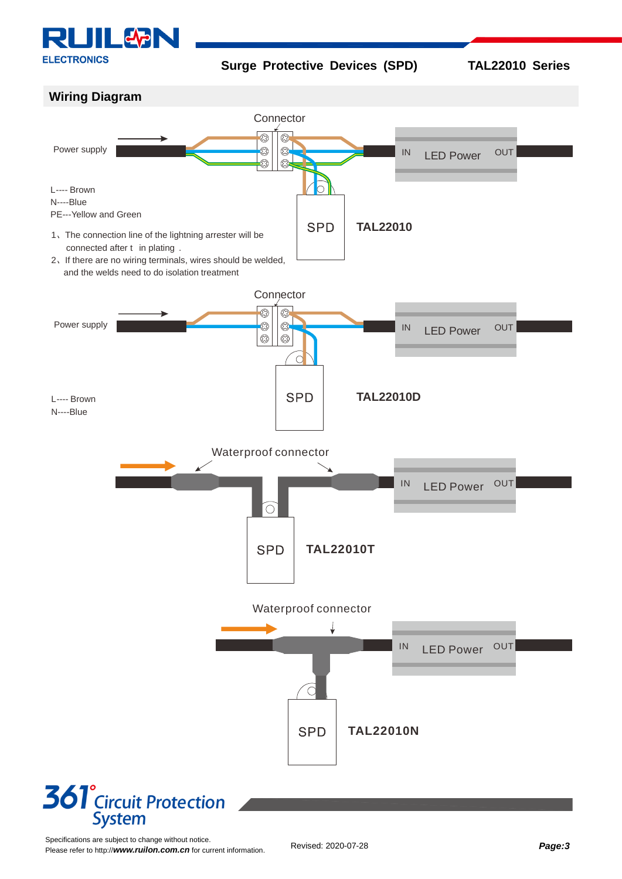